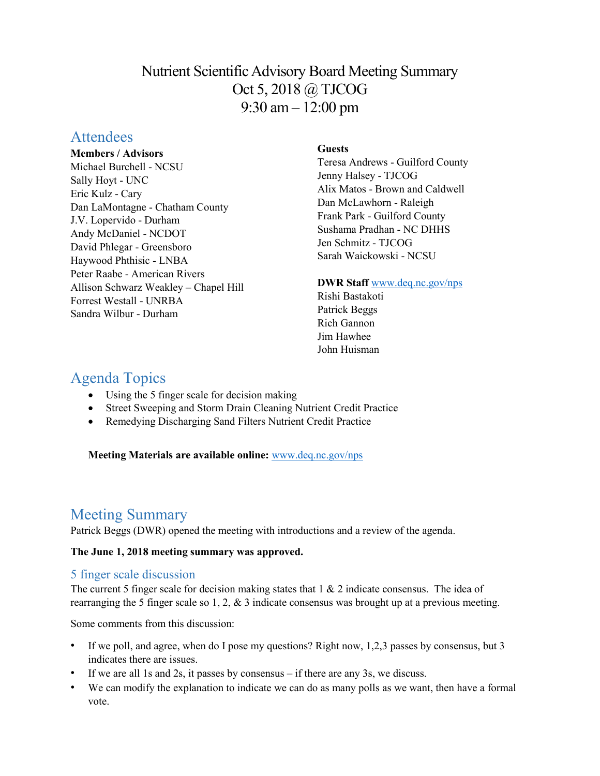# Nutrient Scientific Advisory Board Meeting Summary Oct 5, 2018 @ TJCOG 9:30 am – 12:00 pm

## **Attendees**

#### **Members / Advisors**

Michael Burchell - NCSU Sally Hoyt - UNC Eric Kulz - Cary Dan LaMontagne - Chatham County J.V. Lopervido - Durham Andy McDaniel - NCDOT David Phlegar - Greensboro Haywood Phthisic - LNBA Peter Raabe - American Rivers Allison Schwarz Weakley – Chapel Hill Forrest Westall - UNRBA Sandra Wilbur - Durham

## **Guests**

Teresa Andrews - Guilford County Jenny Halsey - TJCOG Alix Matos - Brown and Caldwell Dan McLawhorn - Raleigh Frank Park - Guilford County Sushama Pradhan - NC DHHS Jen Schmitz - TJCOG Sarah Waickowski - NCSU

### **DWR Staff** [www.deq.nc.gov/nps](http://www.deq.nc.gov/nps)

Rishi Bastakoti Patrick Beggs Rich Gannon Jim Hawhee John Huisman

# Agenda Topics

- Using the 5 finger scale for decision making
- Street Sweeping and Storm Drain Cleaning Nutrient Credit Practice
- Remedying Discharging Sand Filters Nutrient Credit Practice

**Meeting Materials are available online:** [www.deq.nc.gov/nps](https://deq.nc.gov/about/divisions/water-resources/planning/nonpoint-source-management/nutrient-scientific-advisory-board/meeting-documents)

# Meeting Summary

Patrick Beggs (DWR) opened the meeting with introductions and a review of the agenda.

### **The June 1, 2018 meeting summary was approved.**

## 5 finger scale discussion

The current 5 finger scale for decision making states that  $1 \& 2$  indicate consensus. The idea of rearranging the 5 finger scale so 1, 2, & 3 indicate consensus was brought up at a previous meeting.

Some comments from this discussion:

- If we poll, and agree, when do I pose my questions? Right now, 1,2,3 passes by consensus, but 3 indicates there are issues.
- If we are all 1s and 2s, it passes by consensus  $-$  if there are any 3s, we discuss.
- We can modify the explanation to indicate we can do as many polls as we want, then have a formal vote.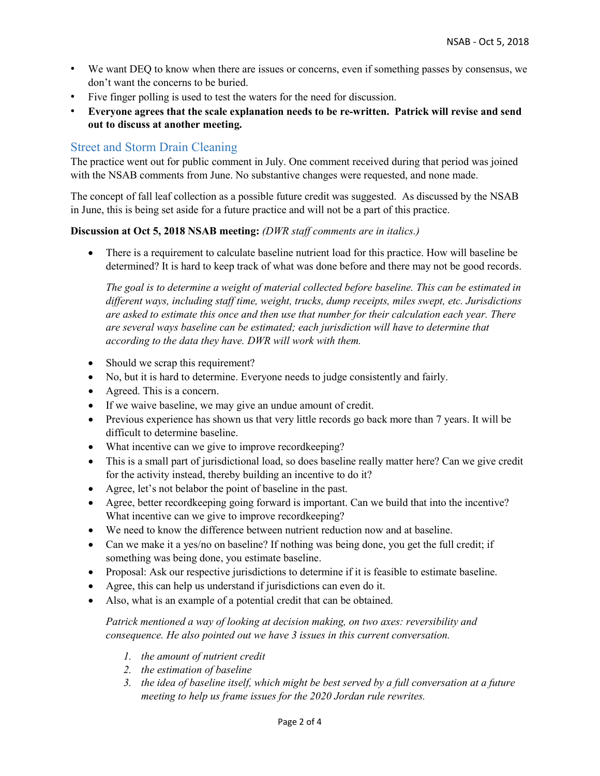- We want DEQ to know when there are issues or concerns, even if something passes by consensus, we don't want the concerns to be buried.
- Five finger polling is used to test the waters for the need for discussion.
- **Everyone agrees that the scale explanation needs to be re-written. Patrick will revise and send out to discuss at another meeting.**

## Street and Storm Drain Cleaning

The practice went out for public comment in July. One comment received during that period was joined with the NSAB comments from June. No substantive changes were requested, and none made.

The concept of fall leaf collection as a possible future credit was suggested. As discussed by the NSAB in June, this is being set aside for a future practice and will not be a part of this practice.

#### **Discussion at Oct 5, 2018 NSAB meeting:** *(DWR staff comments are in italics.)*

• There is a requirement to calculate baseline nutrient load for this practice. How will baseline be determined? It is hard to keep track of what was done before and there may not be good records.

*The goal is to determine a weight of material collected before baseline. This can be estimated in different ways, including staff time, weight, trucks, dump receipts, miles swept, etc. Jurisdictions are asked to estimate this once and then use that number for their calculation each year. There are several ways baseline can be estimated; each jurisdiction will have to determine that according to the data they have. DWR will work with them.*

- Should we scrap this requirement?
- No, but it is hard to determine. Everyone needs to judge consistently and fairly.
- Agreed. This is a concern.
- If we waive baseline, we may give an undue amount of credit.
- Previous experience has shown us that very little records go back more than 7 years. It will be difficult to determine baseline.
- What incentive can we give to improve recordkeeping?
- This is a small part of jurisdictional load, so does baseline really matter here? Can we give credit for the activity instead, thereby building an incentive to do it?
- Agree, let's not belabor the point of baseline in the past.
- Agree, better recordkeeping going forward is important. Can we build that into the incentive? What incentive can we give to improve recordkeeping?
- We need to know the difference between nutrient reduction now and at baseline.
- Can we make it a yes/no on baseline? If nothing was being done, you get the full credit; if something was being done, you estimate baseline.
- Proposal: Ask our respective jurisdictions to determine if it is feasible to estimate baseline.
- Agree, this can help us understand if jurisdictions can even do it.
- Also, what is an example of a potential credit that can be obtained.

#### *Patrick mentioned a way of looking at decision making, on two axes: reversibility and consequence. He also pointed out we have 3 issues in this current conversation.*

- *1. the amount of nutrient credit*
- *2. the estimation of baseline*
- *3. the idea of baseline itself, which might be best served by a full conversation at a future meeting to help us frame issues for the 2020 Jordan rule rewrites.*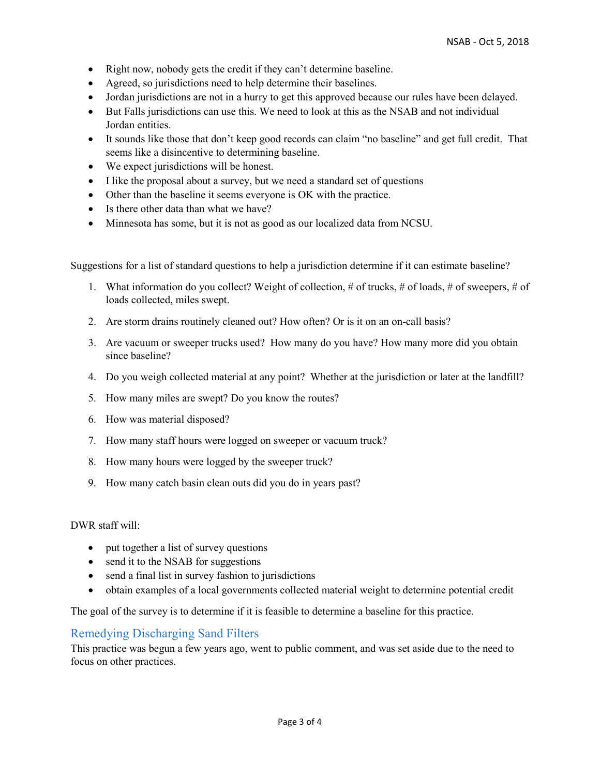- Right now, nobody gets the credit if they can't determine baseline.
- Agreed, so jurisdictions need to help determine their baselines.
- Jordan jurisdictions are not in a hurry to get this approved because our rules have been delayed.
- But Falls jurisdictions can use this. We need to look at this as the NSAB and not individual Jordan entities.
- It sounds like those that don't keep good records can claim "no baseline" and get full credit. That seems like a disincentive to determining baseline.
- We expect jurisdictions will be honest.
- I like the proposal about a survey, but we need a standard set of questions
- Other than the baseline it seems everyone is OK with the practice.
- Is there other data than what we have?
- Minnesota has some, but it is not as good as our localized data from NCSU.

Suggestions for a list of standard questions to help a jurisdiction determine if it can estimate baseline?

- 1. What information do you collect? Weight of collection, # of trucks, # of loads, # of sweepers, # of loads collected, miles swept.
- 2. Are storm drains routinely cleaned out? How often? Or is it on an on-call basis?
- 3. Are vacuum or sweeper trucks used? How many do you have? How many more did you obtain since baseline?
- 4. Do you weigh collected material at any point? Whether at the jurisdiction or later at the landfill?
- 5. How many miles are swept? Do you know the routes?
- 6. How was material disposed?
- 7. How many staff hours were logged on sweeper or vacuum truck?
- 8. How many hours were logged by the sweeper truck?
- 9. How many catch basin clean outs did you do in years past?

DWR staff will:

- put together a list of survey questions
- send it to the NSAB for suggestions
- send a final list in survey fashion to jurisdictions
- obtain examples of a local governments collected material weight to determine potential credit

The goal of the survey is to determine if it is feasible to determine a baseline for this practice.

### Remedying Discharging Sand Filters

This practice was begun a few years ago, went to public comment, and was set aside due to the need to focus on other practices.